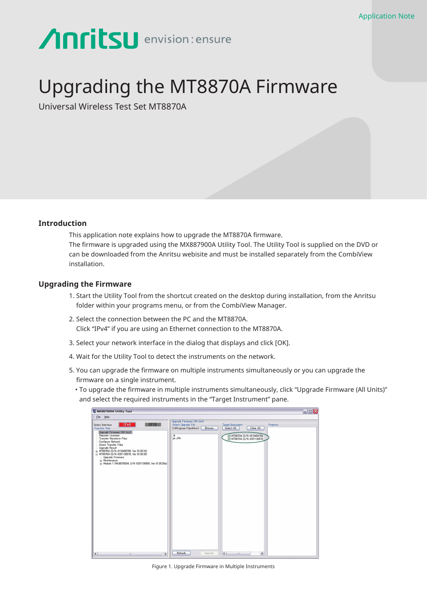## **Anritsu** envision: ensure

## Upgrading the MT8870A Firmware

Universal Wireless Test Set MT8870A

## **Introduction**

This application note explains how to upgrade the MT8870A firmware. The firmware is upgraded using the MX887900A Utility Tool. The Utility Tool is supplied on the DVD or can be downloaded from the Anritsu webisite and must be installed separately from the CombiView installation.

## **Upgrading the Firmware**

- 1. Start the Utility Tool from the shortcut created on the desktop during installation, from the Anritsu folder within your programs menu, or from the CombiView Manager.
- 2. Select the connection between the PC and the MT8870A. Click "IPv4" if you are using an Ethernet connection to the MT8870A.
- 3. Select your network interface in the dialog that displays and click [OK].
- 4. Wait for the Utility Tool to detect the instruments on the network.
- 5. You can upgrade the firmware on multiple instruments simultaneously or you can upgrade the firmware on a single instrument.
	- To upgrade the firmware in multiple instruments simultaneously, click "Upgrade Firmware (All Units)" and select the required instruments in the "Target Instrument" pane.

| M MX887900A Utility Tool                                                                                                                                                                                                                                                                                                                    |                                                                                        |                                                        | $\blacksquare$ $\blacksquare$ $\times$ |
|---------------------------------------------------------------------------------------------------------------------------------------------------------------------------------------------------------------------------------------------------------------------------------------------------------------------------------------------|----------------------------------------------------------------------------------------|--------------------------------------------------------|----------------------------------------|
| : Eile Help                                                                                                                                                                                                                                                                                                                                 |                                                                                        |                                                        |                                        |
| IPv4<br>GPIB<br>Select Interface<br>Function Tree                                                                                                                                                                                                                                                                                           | Upgrade Firmware (All Unit)<br>Select Upgrade File<br>C:¥Program Files¥Anrit<br>Browse | <b>Target Instrument</b><br>Select All<br>Clear All    | Progress                               |
| (Upgrade Firmware (All Unit)]<br>Register Licenses<br>Transfer Waveform Files<br>Configure Network<br>Direct Transfer Files<br><b>Upgrade Result</b><br>+ MT8870A (S/N: 6123456789, Ver 01.00.24)<br>MT8870A (S/N: 6201136578, Ver 01.00.28)<br>Upgrade Firmware<br>+ Maintenance<br>+ Module 1 (MU887000A, S/N: 6201136598, Ver 01.05.39a) | ¥<br>ia-JP¥                                                                            | MT8870A (S/N: 6123456789,<br>MT8870A (S/N: 6201136578) |                                        |
|                                                                                                                                                                                                                                                                                                                                             |                                                                                        |                                                        |                                        |
| $\rightarrow$<br>$\left  \cdot \right $<br>itto.                                                                                                                                                                                                                                                                                            | Refresh<br>Upgrade                                                                     | $\vert$ < $\vert$<br>$\rightarrow$<br>in.              |                                        |

Figure 1. Upgrade Firmware in Multiple Instruments